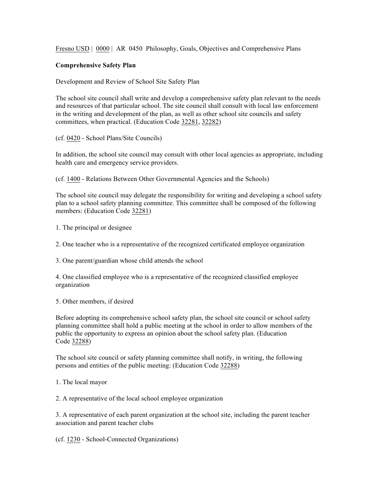Fresno USD | 0000 | AR 0450 Philosophy, Goals, Objectives and Comprehensive Plans

## **Comprehensive Safety Plan**

Development and Review of School Site Safety Plan

The school site council shall write and develop a comprehensive safety plan relevant to the needs and resources of that particular school. The site council shall consult with local law enforcement in the writing and development of the plan, as well as other school site councils and safety committees, when practical. (Education Code 32281, 32282)

(cf. 0420 - School Plans/Site Councils)

In addition, the school site council may consult with other local agencies as appropriate, including health care and emergency service providers.

(cf. 1400 - Relations Between Other Governmental Agencies and the Schools)

The school site council may delegate the responsibility for writing and developing a school safety plan to a school safety planning committee. This committee shall be composed of the following members: (Education Code 32281)

1. The principal or designee

2. One teacher who is a representative of the recognized certificated employee organization

3. One parent/guardian whose child attends the school

4. One classified employee who is a representative of the recognized classified employee organization

5. Other members, if desired

Before adopting its comprehensive school safety plan, the school site council or school safety planning committee shall hold a public meeting at the school in order to allow members of the public the opportunity to express an opinion about the school safety plan. (Education Code 32288)

The school site council or safety planning committee shall notify, in writing, the following persons and entities of the public meeting: (Education Code 32288)

1. The local mayor

2. A representative of the local school employee organization

3. A representative of each parent organization at the school site, including the parent teacher association and parent teacher clubs

(cf. 1230 - School-Connected Organizations)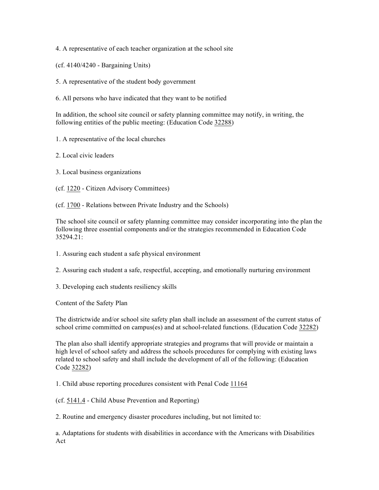4. A representative of each teacher organization at the school site

(cf. 4140/4240 - Bargaining Units)

- 5. A representative of the student body government
- 6. All persons who have indicated that they want to be notified

In addition, the school site council or safety planning committee may notify, in writing, the following entities of the public meeting: (Education Code 32288)

- 1. A representative of the local churches
- 2. Local civic leaders
- 3. Local business organizations
- (cf. 1220 Citizen Advisory Committees)
- (cf. 1700 Relations between Private Industry and the Schools)

The school site council or safety planning committee may consider incorporating into the plan the following three essential components and/or the strategies recommended in Education Code 35294.21:

- 1. Assuring each student a safe physical environment
- 2. Assuring each student a safe, respectful, accepting, and emotionally nurturing environment
- 3. Developing each students resiliency skills

Content of the Safety Plan

The districtwide and/or school site safety plan shall include an assessment of the current status of school crime committed on campus(es) and at school-related functions. (Education Code 32282)

The plan also shall identify appropriate strategies and programs that will provide or maintain a high level of school safety and address the schools procedures for complying with existing laws related to school safety and shall include the development of all of the following: (Education Code 32282)

1. Child abuse reporting procedures consistent with Penal Code 11164

(cf. 5141.4 - Child Abuse Prevention and Reporting)

2. Routine and emergency disaster procedures including, but not limited to:

a. Adaptations for students with disabilities in accordance with the Americans with Disabilities Act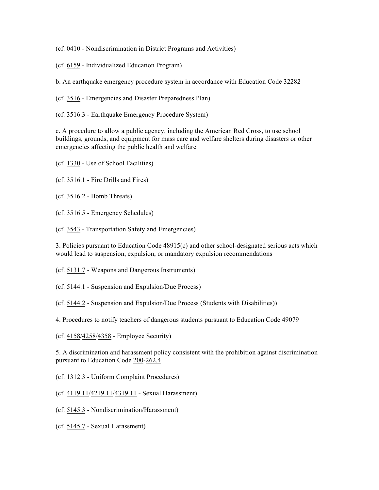(cf. 0410 - Nondiscrimination in District Programs and Activities)

(cf. 6159 - Individualized Education Program)

b. An earthquake emergency procedure system in accordance with Education Code 32282

(cf. 3516 - Emergencies and Disaster Preparedness Plan)

(cf. 3516.3 - Earthquake Emergency Procedure System)

c. A procedure to allow a public agency, including the American Red Cross, to use school buildings, grounds, and equipment for mass care and welfare shelters during disasters or other emergencies affecting the public health and welfare

(cf. 1330 - Use of School Facilities)

(cf. 3516.1 - Fire Drills and Fires)

(cf. 3516.2 - Bomb Threats)

(cf. 3516.5 - Emergency Schedules)

(cf. 3543 - Transportation Safety and Emergencies)

3. Policies pursuant to Education Code 48915(c) and other school-designated serious acts which would lead to suspension, expulsion, or mandatory expulsion recommendations

(cf. 5131.7 - Weapons and Dangerous Instruments)

(cf. 5144.1 - Suspension and Expulsion/Due Process)

(cf. 5144.2 - Suspension and Expulsion/Due Process (Students with Disabilities))

4. Procedures to notify teachers of dangerous students pursuant to Education Code 49079

(cf. 4158/4258/4358 - Employee Security)

5. A discrimination and harassment policy consistent with the prohibition against discrimination pursuant to Education Code 200-262.4

(cf. 1312.3 - Uniform Complaint Procedures)

(cf. 4119.11/4219.11/4319.11 - Sexual Harassment)

(cf. 5145.3 - Nondiscrimination/Harassment)

(cf. 5145.7 - Sexual Harassment)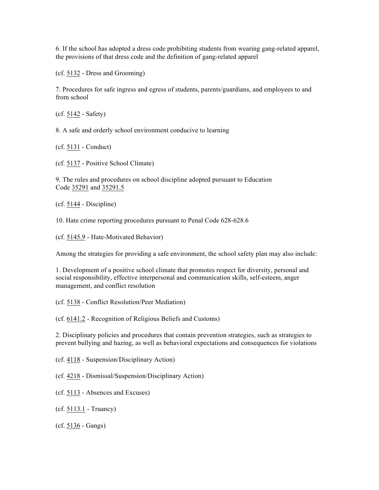6. If the school has adopted a dress code prohibiting students from wearing gang-related apparel, the provisions of that dress code and the definition of gang-related apparel

(cf. 5132 - Dress and Grooming)

7. Procedures for safe ingress and egress of students, parents/guardians, and employees to and from school

(cf. 5142 - Safety)

8. A safe and orderly school environment conducive to learning

(cf. 5131 - Conduct)

(cf. 5137 - Positive School Climate)

9. The rules and procedures on school discipline adopted pursuant to Education Code 35291 and 35291.5

(cf. 5144 - Discipline)

10. Hate crime reporting procedures pursuant to Penal Code 628-628.6

(cf. 5145.9 - Hate-Motivated Behavior)

Among the strategies for providing a safe environment, the school safety plan may also include:

1. Development of a positive school climate that promotes respect for diversity, personal and social responsibility, effective interpersonal and communication skills, self-esteem, anger management, and conflict resolution

(cf. 5138 - Conflict Resolution/Peer Mediation)

(cf. 6141.2 - Recognition of Religious Beliefs and Customs)

2. Disciplinary policies and procedures that contain prevention strategies, such as strategies to prevent bullying and hazing, as well as behavioral expectations and consequences for violations

(cf. 4118 - Suspension/Disciplinary Action)

(cf. 4218 - Dismissal/Suspension/Disciplinary Action)

(cf. 5113 - Absences and Excuses)

(cf. 5113.1 - Truancy)

(cf. 5136 - Gangs)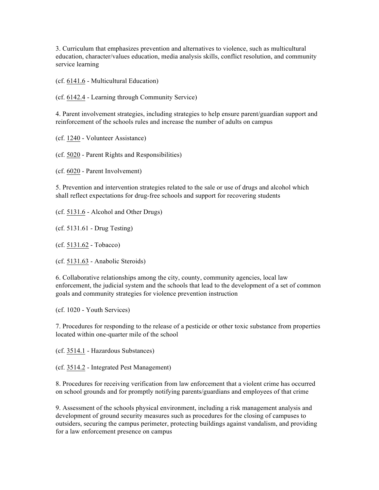3. Curriculum that emphasizes prevention and alternatives to violence, such as multicultural education, character/values education, media analysis skills, conflict resolution, and community service learning

(cf. 6141.6 - Multicultural Education)

(cf. 6142.4 - Learning through Community Service)

4. Parent involvement strategies, including strategies to help ensure parent/guardian support and reinforcement of the schools rules and increase the number of adults on campus

(cf. 1240 - Volunteer Assistance)

(cf. 5020 - Parent Rights and Responsibilities)

(cf. 6020 - Parent Involvement)

5. Prevention and intervention strategies related to the sale or use of drugs and alcohol which shall reflect expectations for drug-free schools and support for recovering students

(cf. 5131.6 - Alcohol and Other Drugs)

(cf. 5131.61 - Drug Testing)

(cf. 5131.62 - Tobacco)

(cf. 5131.63 - Anabolic Steroids)

6. Collaborative relationships among the city, county, community agencies, local law enforcement, the judicial system and the schools that lead to the development of a set of common goals and community strategies for violence prevention instruction

(cf. 1020 - Youth Services)

7. Procedures for responding to the release of a pesticide or other toxic substance from properties located within one-quarter mile of the school

(cf. 3514.1 - Hazardous Substances)

(cf. 3514.2 - Integrated Pest Management)

8. Procedures for receiving verification from law enforcement that a violent crime has occurred on school grounds and for promptly notifying parents/guardians and employees of that crime

9. Assessment of the schools physical environment, including a risk management analysis and development of ground security measures such as procedures for the closing of campuses to outsiders, securing the campus perimeter, protecting buildings against vandalism, and providing for a law enforcement presence on campus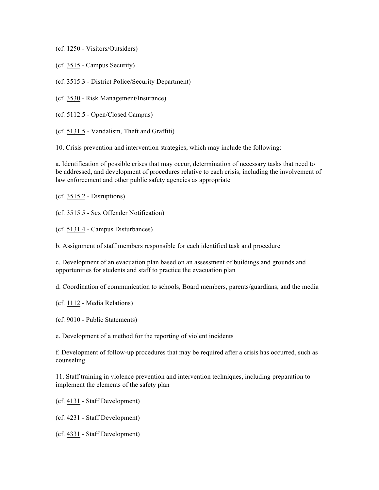(cf. 1250 - Visitors/Outsiders)

(cf. 3515 - Campus Security)

(cf. 3515.3 - District Police/Security Department)

(cf. 3530 - Risk Management/Insurance)

(cf. 5112.5 - Open/Closed Campus)

(cf. 5131.5 - Vandalism, Theft and Graffiti)

10. Crisis prevention and intervention strategies, which may include the following:

a. Identification of possible crises that may occur, determination of necessary tasks that need to be addressed, and development of procedures relative to each crisis, including the involvement of law enforcement and other public safety agencies as appropriate

(cf. 3515.2 - Disruptions)

(cf. 3515.5 - Sex Offender Notification)

(cf. 5131.4 - Campus Disturbances)

b. Assignment of staff members responsible for each identified task and procedure

c. Development of an evacuation plan based on an assessment of buildings and grounds and opportunities for students and staff to practice the evacuation plan

d. Coordination of communication to schools, Board members, parents/guardians, and the media

(cf. 1112 - Media Relations)

(cf. 9010 - Public Statements)

e. Development of a method for the reporting of violent incidents

f. Development of follow-up procedures that may be required after a crisis has occurred, such as counseling

11. Staff training in violence prevention and intervention techniques, including preparation to implement the elements of the safety plan

(cf. 4131 - Staff Development)

(cf. 4231 - Staff Development)

(cf. 4331 - Staff Development)